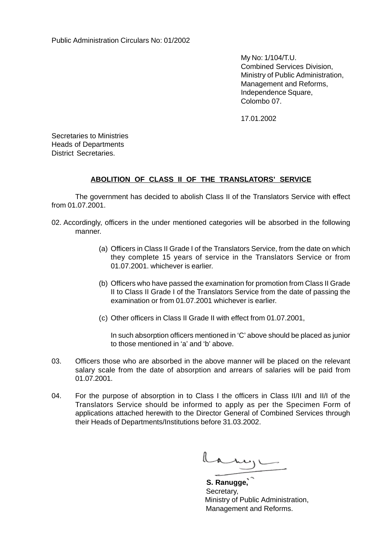My No: 1/104/T.U. Combined Services Division, Ministry of Public Administration, Management and Reforms, Independence Square, Colombo 07.

17.01.2002

Secretaries to Ministries Heads of Departments District Secretaries.

## **ABOLITION OF CLASS II OF THE TRANSLATORS' SERVICE**

The government has decided to abolish Class II of the Translators Service with effect from 01.07.2001.

- 02. Accordingly, officers in the under mentioned categories will be absorbed in the following manner.
	- (a) Officers in Class II Grade I of the Translators Service, from the date on which they complete 15 years of service in the Translators Service or from 01.07.2001. whichever is earlier.
	- (b) Officers who have passed the examination for promotion from Class II Grade II to Class II Grade I of the Translators Service from the date of passing the examination or from 01.07.2001 whichever is earlier.
	- (c) Other officers in Class II Grade II with effect from 01.07.2001,

In such absorption officers mentioned in 'C' above should be placed as junior to those mentioned in 'a' and 'b' above.

- 03. Officers those who are absorbed in the above manner will be placed on the relevant salary scale from the date of absorption and arrears of salaries will be paid from 01.07.2001.
- 04. For the purpose of absorption in to Class I the officers in Class II/II and II/I of the Translators Service should be informed to apply as per the Specimen Form of applications attached herewith to the Director General of Combined Services through their Heads of Departments/Institutions before 31.03.2002.

Lany

 **S. Ranugge,** Secretary, Ministry of Public Administration, Management and Reforms.